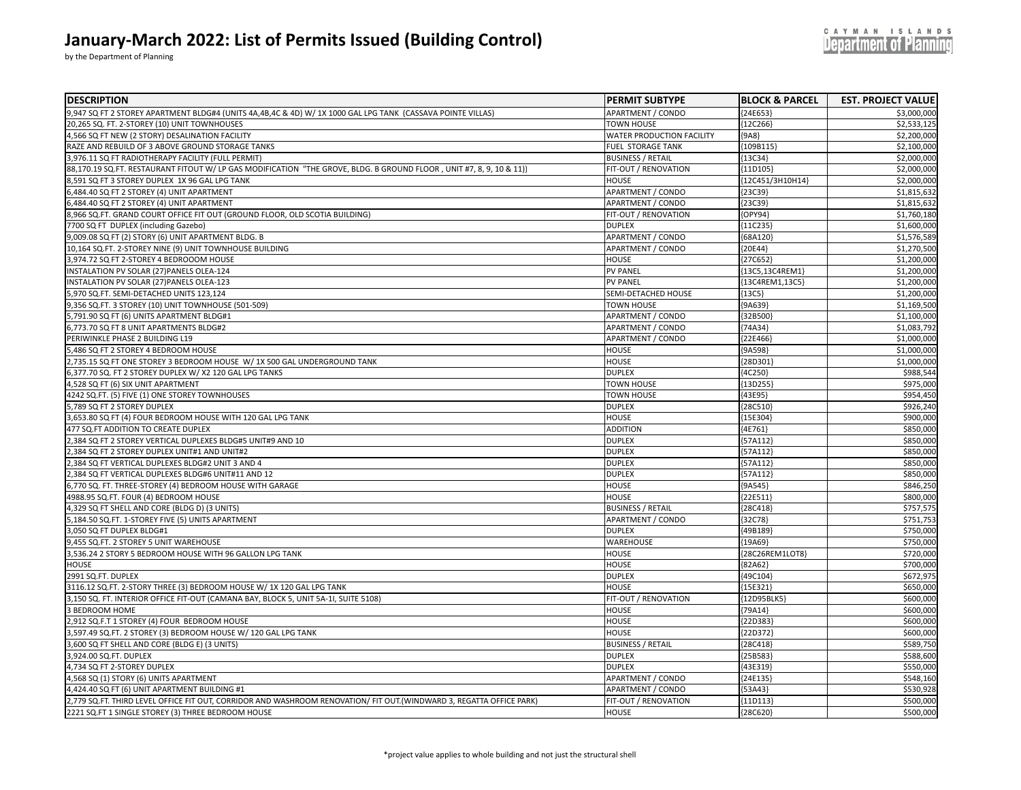| January-March 2022: List of Permits Issued (Building Control)<br>by the Department of Planning              |                                  |                           | NDS<br>Department of Planning |
|-------------------------------------------------------------------------------------------------------------|----------------------------------|---------------------------|-------------------------------|
| <b>DESCRIPTION</b>                                                                                          | <b>IPERMIT SUBTYPE</b>           | <b>BLOCK &amp; PARCEL</b> | <b>EST. PROJECT VALUE</b>     |
| 9,947 SQ FT 2 STOREY APARTMENT BLDG#4 (UNITS 4A,4B,4C & 4D) W/ 1X 1000 GAL LPG TANK (CASSAVA POINTE VILLAS) | <b>APARTMENT / CONDO</b>         | ${24E653}$                | \$3,000,000                   |
| 20,265 SQ. FT. 2-STOREY (10) UNIT TOWNHOUSES                                                                | <b>TOWN HOUSE</b>                | ${12C266}$                | \$2,533,125                   |
| 4,566 SQ FT NEW (2 STORY) DESALINATION FACILITY                                                             | <b>WATER PRODUCTION FACILITY</b> | ${9A8}$                   | \$2,200,000                   |
| RAZE AND REBUILD OF 3 ABOVE GROUND STORAGE TANKS                                                            | <b>FUEL STORAGE TANK</b>         | ${109B115}$               | \$2,100,000                   |
| 3.976.11 SO FT RADIOTHERAPY FACILITY (FULL PERMIT)                                                          | <b>BUSINESS / RETAIL</b>         | ${13C34}$                 | \$2,000,000                   |

| $5,547$ SQTT Z STONET APANTIVIENT BEDO#4 (ONITS 4A,40,4C & 4D) W/ IN 1000 OAE EPO TAINN (CASSAVA POINTE VIELAS)       | AFANINILIVI / CUNUU       | າ∠⊶∟ບວວງ         | PS,UUU,UUU  |
|-----------------------------------------------------------------------------------------------------------------------|---------------------------|------------------|-------------|
| 20,265 SQ. FT. 2-STOREY (10) UNIT TOWNHOUSES                                                                          | <b>TOWN HOUSE</b>         | ${12C266}$       | \$2,533,125 |
| 4,566 SQ FT NEW (2 STORY) DESALINATION FACILITY                                                                       | WATER PRODUCTION FACILITY | ${9A8}$          | \$2,200,000 |
| RAZE AND REBUILD OF 3 ABOVE GROUND STORAGE TANKS                                                                      | FUEL STORAGE TANK         | ${109B115}$      | \$2,100,000 |
| 3,976.11 SQ FT RADIOTHERAPY FACILITY (FULL PERMIT)                                                                    | <b>BUSINESS / RETAIL</b>  | ${13C34}$        | \$2,000,000 |
| 88,170.19 SQ.FT. RESTAURANT FITOUT W/ LP GAS MODIFICATION "THE GROVE, BLDG. B GROUND FLOOR , UNIT #7, 8, 9, 10 & 11)) | FIT-OUT / RENOVATION      | ${11D105}$       | \$2,000,000 |
| 3,591 SQ FT 3 STOREY DUPLEX 1X 96 GAL LPG TANK                                                                        | <b>HOUSE</b>              | {12C451/3H10H14} | \$2,000,000 |
| 6,484.40 SQ FT 2 STOREY (4) UNIT APARTMENT                                                                            | APARTMENT / CONDO         | ${23C39}$        | \$1,815,632 |
| ,484.40 SQ FT 2 STOREY (4) UNIT APARTMENT                                                                             | APARTMENT / CONDO         | ${23C39}$        | \$1,815,632 |
| 3,966 SQ.FT. GRAND COURT OFFICE FIT OUT (GROUND FLOOR, OLD SCOTIA BUILDING)                                           | FIT-OUT / RENOVATION      | (OPY94)          | \$1,760,180 |
| 7700 SQ FT DUPLEX (including Gazebo)                                                                                  | <b>DUPLEX</b>             | ${11C235}$       | \$1,600,000 |
| 9,009.08 SQ FT (2) STORY (6) UNIT APARTMENT BLDG. B                                                                   | APARTMENT / CONDO         | ${68A120}$       | \$1,576,589 |
| 10,164 SQ.FT. 2-STOREY NINE (9) UNIT TOWNHOUSE BUILDING                                                               | APARTMENT / CONDO         | ${20E44}$        | \$1,270,500 |
| 3,974.72 SQ FT 2-STOREY 4 BEDROOOM HOUSE                                                                              | <b>HOUSE</b>              | ${27C652}$       | \$1,200,000 |
| INSTALATION PV SOLAR (27)PANELS OLEA-124                                                                              | <b>PV PANEL</b>           | {13C5,13C4REM1}  | \$1,200,000 |
| INSTALATION PV SOLAR (27)PANELS OLEA-123                                                                              | <b>PV PANEL</b>           | {13C4REM1,13C5}  | \$1,200,000 |
| ,970 SQ.FT. SEMI-DETACHED UNITS 123,124                                                                               | SEMI-DETACHED HOUSE       | ${13C5}$         | \$1,200,000 |
| 9,356 SQ.FT. 3 STOREY (10) UNIT TOWNHOUSE (501-509)                                                                   | <b>TOWN HOUSE</b>         | ${9A639}$        | \$1,169,500 |
| 5,791.90 SQ FT (6) UNITS APARTMENT BLDG#1                                                                             | APARTMENT / CONDO         | {32B500]         | \$1,100,000 |
| 6,773.70 SQ FT 8 UNIT APARTMENTS BLDG#2                                                                               | APARTMENT / CONDO         | ${74A34}$        | \$1,083,792 |
| PERIWINKLE PHASE 2 BUILDING L19                                                                                       | APARTMENT / CONDO         | {22E466}         | \$1,000,000 |
| ,486 SQ FT 2 STOREY 4 BEDROOM HOUSE                                                                                   | HOUSE                     | [9A598]          | \$1,000,000 |
| 2,735.15 SQ FT ONE STOREY 3 BEDROOM HOUSE W/ 1X 500 GAL UNDERGROUND TANK                                              | HOUSE                     | {28D301          | \$1,000,000 |
| 6,377.70 SQ. FT 2 STOREY DUPLEX W/ X2 120 GAL LPG TANKS                                                               | <b>DUPLEX</b>             | ${4C250}$        | \$988,544   |
| 4,528 SQ FT (6) SIX UNIT APARTMENT                                                                                    | <b>TOWN HOUSE</b>         | {13D255          | \$975,000   |
|                                                                                                                       | <b>TOWN HOUSE</b>         |                  | \$954,450   |
| 4242 SQ.FT. (5) FIVE (1) ONE STOREY TOWNHOUSES                                                                        |                           | ${43E95}$        |             |
| ,789 SQ FT 2 STOREY DUPLEX                                                                                            | <b>DUPLEX</b>             | ${28C510}$       | \$926,240   |
| 3,653.80 SQ FT (4) FOUR BEDROOM HOUSE WITH 120 GAL LPG TANK                                                           | HOUSE                     | ${15E304}$       | \$900,000   |
| 477 SQ.FT ADDITION TO CREATE DUPLEX                                                                                   | <b>ADDITION</b>           | ${4E761}$        | \$850,000   |
| ,384 SQ FT 2 STOREY VERTICAL DUPLEXES BLDG#5 UNIT#9 AND 10                                                            | <b>DUPLEX</b>             | 57A112           | \$850,000   |
| .384 SQ FT 2 STOREY DUPLEX UNIT#1 AND UNIT#2                                                                          | <b>DUPLEX</b>             | 57A112           | \$850,000   |
| ,384 SQ FT VERTICAL DUPLEXES BLDG#2 UNIT 3 AND 4                                                                      | <b>DUPLEX</b>             | ${57A112}$       | \$850,000   |
| 2,384 SQ FT VERTICAL DUPLEXES BLDG#6 UNIT#11 AND 12                                                                   | <b>DUPLEX</b>             | ${57A112}$       | \$850,000   |
| 6,770 SQ. FT. THREE-STOREY (4) BEDROOM HOUSE WITH GARAGE                                                              | <b>HOUSE</b>              | ${9A545}$        | \$846,250   |
| 4988.95 SQ.FT. FOUR (4) BEDROOM HOUSE                                                                                 | <b>HOUSE</b>              | {22E511'         | \$800,000   |
| 4,329 SQ FT SHELL AND CORE (BLDG D) (3 UNITS)                                                                         | <b>BUSINESS / RETAIL</b>  | [28C418]         | \$757,575   |
| 5,184.50 SQ.FT. 1-STOREY FIVE (5) UNITS APARTMENT                                                                     | APARTMENT / CONDO         | ${32C78}$        | \$751,753   |
| ,050 SQ FT DUPLEX BLDG#1                                                                                              | <b>DUPLEX</b>             | ${49B189}$       | \$750,000   |
| 9,455 SQ.FT. 2 STOREY 5 UNIT WAREHOUSE                                                                                | WAREHOUSE                 | ${19A69}$        | \$750,000   |
| 3,536.24 2 STORY 5 BEDROOM HOUSE WITH 96 GALLON LPG TANK                                                              | <b>HOUSE</b>              | {28C26REM1LOT8}  | \$720,000   |
| HOUSE                                                                                                                 | <b>HOUSE</b>              | ${82A62}$        | \$700,000   |
| 2991 SQ.FT. DUPLEX                                                                                                    | <b>DUPLEX</b>             | ${49C104}$       | \$672,975   |
| 3116.12 SQ.FT. 2-STORY THREE (3) BEDROOM HOUSE W/ 1X 120 GAL LPG TANK                                                 | <b>HOUSE</b>              | ${15E321}$       | \$650,000   |
| 3,150 SQ. FT. INTERIOR OFFICE FIT-OUT (CAMANA BAY, BLOCK 5, UNIT 5A-1I, SUITE 5108)                                   | FIT-OUT / RENOVATION      | {12D95BLK5}      | \$600,000   |
| 3 BEDROOM HOME                                                                                                        | <b>HOUSE</b>              | ${79A14}$        | \$600,000   |
| 912 SQ.F.T 1 STOREY (4) FOUR BEDROOM HOUSE                                                                            | HOUSE                     | {22D383          | \$600,000   |
| 597.49 SQ.FT. 2 STOREY (3) BEDROOM HOUSE W/ 120 GAL LPG TANK                                                          | <b>HOUSE</b>              | ${22D372}$       | \$600,000   |
| ,600 SQ FT SHELL AND CORE (BLDG E) (3 UNITS)                                                                          | <b>BUSINESS / RETAIL</b>  | ${28C418}$       | \$589,750   |
| 3,924.00 SQ.FT. DUPLEX                                                                                                | <b>DUPLEX</b>             | {25B583}         | \$588,600   |
| 4,734 SQ FT 2-STOREY DUPLEX                                                                                           | <b>DUPLEX</b>             | ${43E319}$       | \$550,000   |
| 4,568 SQ (1) STORY (6) UNITS APARTMENT                                                                                | APARTMENT / CONDO         | ${24E135}$       | \$548,160   |
| 4,424.40 SQ FT (6) UNIT APARTMENT BUILDING #1                                                                         | APARTMENT / CONDO         | [53A43]          | \$530,928   |
| .,779 SQ.FT. THIRD LEVEL OFFICE FIT OUT, CORRIDOR AND WASHROOM RENOVATION/ FIT OUT.(WINDWARD 3, REGATTA OFFICE PARK)  | FIT-OUT / RENOVATION      | 11D113           | \$500,000   |
| 2221 SQ.FT 1 SINGLE STOREY (3) THREE BEDROOM HOUSE                                                                    | <b>HOUSE</b>              | ${28C620}$       | \$500,000   |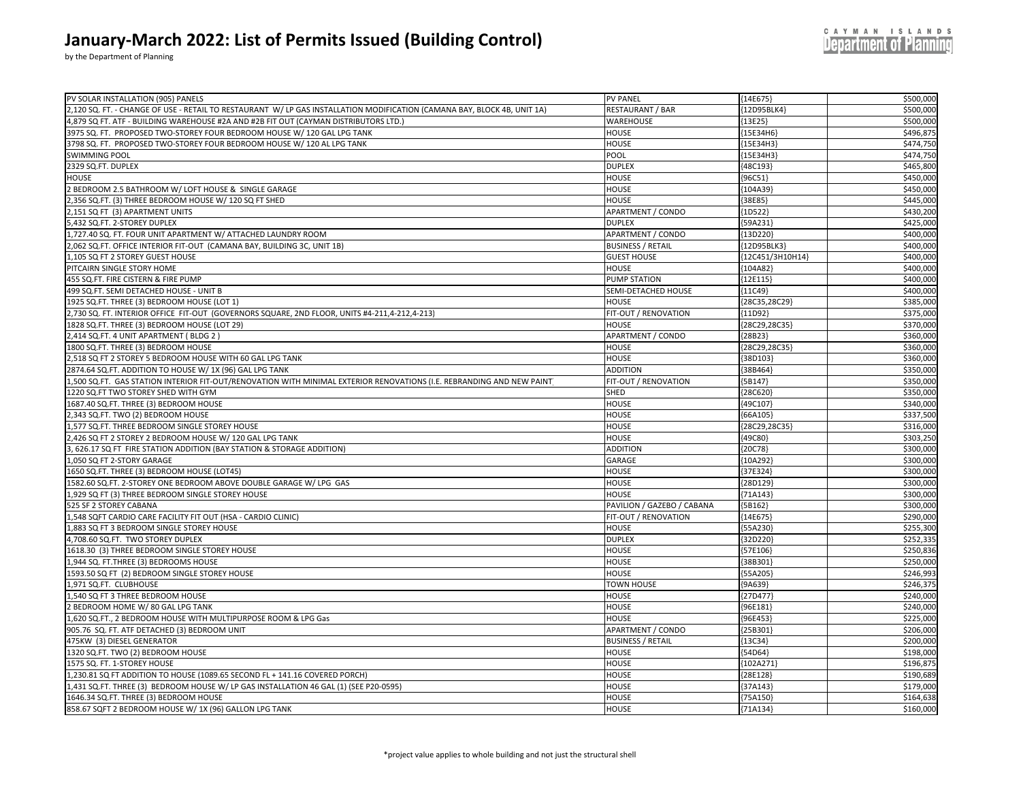by the Department of Planning

| PV SOLAR INSTALLATION (905) PANELS                                                                                       | <b>PV PANEL</b>            | ${14E675}$       | \$500,000 |
|--------------------------------------------------------------------------------------------------------------------------|----------------------------|------------------|-----------|
| 2,120 SQ. FT. - CHANGE OF USE - RETAIL TO RESTAURANT W/ LP GAS INSTALLATION MODIFICATION (CAMANA BAY, BLOCK 4B, UNIT 1A) | <b>RESTAURANT / BAR</b>    | {12D95BLK4}      | \$500,000 |
| 4,879 SQ FT. ATF - BUILDING WAREHOUSE #2A AND #2B FIT OUT (CAYMAN DISTRIBUTORS LTD.)                                     | WAREHOUSE                  | ${13E25}$        | \$500,000 |
| 3975 SQ. FT. PROPOSED TWO-STOREY FOUR BEDROOM HOUSE W/ 120 GAL LPG TANK                                                  | HOUSE                      | ${15E34H6}$      | \$496,875 |
| 3798 SQ. FT. PROPOSED TWO-STOREY FOUR BEDROOM HOUSE W/ 120 AL LPG TANK                                                   | <b>HOUSE</b>               | {15E34H3}        | \$474,750 |
| <b>SWIMMING POOL</b>                                                                                                     | POOL                       | {15E34H3}        | \$474,750 |
| 2329 SQ.FT. DUPLEX                                                                                                       | <b>DUPLEX</b>              | ${48C193}$       | \$465,800 |
| HOUSE                                                                                                                    | <b>HOUSE</b>               | {96C51}          | \$450,000 |
| 2 BEDROOM 2.5 BATHROOM W/ LOFT HOUSE & SINGLE GARAGE                                                                     | <b>HOUSE</b>               | ${104A39}$       | \$450,000 |
| 2,356 SQ.FT. (3) THREE BEDROOM HOUSE W/ 120 SQ FT SHED                                                                   | HOUSE                      | ${38E85}$        | \$445,000 |
| 2,151 SQ FT (3) APARTMENT UNITS                                                                                          | APARTMENT / CONDO          | ${1D522}$        | \$430,200 |
| 5,432 SQ.FT. 2-STOREY DUPLEX                                                                                             | <b>DUPLEX</b>              | ${59A231}$       | \$425,000 |
| 1,727.40 SQ. FT. FOUR UNIT APARTMENT W/ ATTACHED LAUNDRY ROOM                                                            | APARTMENT / CONDO          | ${13D220}$       | \$400,000 |
| 2,062 SQ.FT. OFFICE INTERIOR FIT-OUT (CAMANA BAY, BUILDING 3C, UNIT 1B)                                                  | <b>BUSINESS / RETAIL</b>   | {12D95BLK3}      | \$400,000 |
| 1,105 SQ FT 2 STOREY GUEST HOUSE                                                                                         | <b>GUEST HOUSE</b>         | {12C451/3H10H14} | \$400,000 |
| PITCAIRN SINGLE STORY HOME                                                                                               | <b>HOUSE</b>               | ${104A82}$       | \$400,000 |
| 455 SQ.FT. FIRE CISTERN & FIRE PUMP                                                                                      | <b>PUMP STATION</b>        | ${12E115}$       | \$400,000 |
| 499 SQ.FT. SEMI DETACHED HOUSE - UNIT B                                                                                  | SEMI-DETACHED HOUSE        | ${11C49}$        | \$400,000 |
| 1925 SQ.FT. THREE (3) BEDROOM HOUSE (LOT 1)                                                                              | <b>HOUSE</b>               | {28C35,28C29}    | \$385,000 |
| 2,730 SQ. FT. INTERIOR OFFICE FIT-OUT (GOVERNORS SQUARE, 2ND FLOOR, UNITS #4-211,4-212,4-213)                            | FIT-OUT / RENOVATION       | ${11D92}$        | \$375,000 |
| 1828 SQ.FT. THREE (3) BEDROOM HOUSE (LOT 29)                                                                             | <b>HOUSE</b>               | {28C29,28C35}    | \$370,000 |
| 2,414 SQ.FT. 4 UNIT APARTMENT (BLDG 2)                                                                                   | APARTMENT / CONDO          | ${28B23}$        | \$360,000 |
| 1800 SQ.FT. THREE (3) BEDROOM HOUSE                                                                                      | <b>HOUSE</b>               | {28C29,28C35}    | \$360,000 |
| 2,518 SQ FT 2 STOREY 5 BEDROOM HOUSE WITH 60 GAL LPG TANK                                                                | <b>HOUSE</b>               | ${38D103}$       | \$360,000 |
| 2874.64 SQ.FT. ADDITION TO HOUSE W/ 1X (96) GAL LPG TANK                                                                 | <b>ADDITION</b>            | ${38B464}$       | \$350,000 |
| 1,500 SQ.FT. GAS STATION INTERIOR FIT-OUT/RENOVATION WITH MINIMAL EXTERIOR RENOVATIONS (I.E. REBRANDING AND NEW PAINT    | FIT-OUT / RENOVATION       | ${5B147}$        | \$350,000 |
| 1220 SQ.FT TWO STOREY SHED WITH GYM                                                                                      | SHED                       | ${28C620}$       | \$350,000 |
| 1687.40 SQ.FT. THREE (3) BEDROOM HOUSE                                                                                   | <b>HOUSE</b>               | {49C107}         | \$340,000 |
| 2,343 SQ.FT. TWO (2) BEDROOM HOUSE                                                                                       | <b>HOUSE</b>               | ${66A105}$       | \$337,500 |
| 1,577 SQ.FT. THREE BEDROOM SINGLE STOREY HOUSE                                                                           | HOUSE                      | {28C29,28C35}    | \$316,000 |
| 2,426 SQ FT 2 STOREY 2 BEDROOM HOUSE W/ 120 GAL LPG TANK                                                                 | <b>HOUSE</b>               | ${49C80}$        | \$303,250 |
| 3, 626.17 SQ FT FIRE STATION ADDITION (BAY STATION & STORAGE ADDITION)                                                   | <b>ADDITION</b>            | ${20C78}$        | \$300,000 |
| 1,050 SQ FT 2-STORY GARAGE                                                                                               | GARAGE                     | {10A292}         | \$300,000 |
| 1650 SQ.FT. THREE (3) BEDROOM HOUSE (LOT45)                                                                              | <b>HOUSE</b>               | ${37E324}$       | \$300,000 |
| 1582.60 SQ.FT. 2-STOREY ONE BEDROOM ABOVE DOUBLE GARAGE W/ LPG GAS                                                       | <b>HOUSE</b>               | ${28D129}$       | \$300,000 |
| 1,929 SQ FT (3) THREE BEDROOM SINGLE STOREY HOUSE                                                                        | <b>HOUSE</b>               | ${71A143}$       | \$300,000 |
| 525 SF 2 STOREY CABANA                                                                                                   | PAVILION / GAZEBO / CABANA | ${5B162}$        | \$300,000 |
| 1,548 SQFT CARDIO CARE FACILITY FIT OUT (HSA - CARDIO CLINIC)                                                            | FIT-OUT / RENOVATION       | ${14E675}$       | \$290,000 |
| 1,883 SQ FT 3 BEDROOM SINGLE STOREY HOUSE                                                                                | HOUSE                      | ${55A230}$       | \$255,300 |
| 4,708.60 SQ.FT. TWO STOREY DUPLEX                                                                                        | <b>DUPLEX</b>              | ${32D220}$       | \$252,335 |
| 1618.30 (3) THREE BEDROOM SINGLE STOREY HOUSE                                                                            | <b>HOUSE</b>               | ${57E106}$       | \$250,836 |
| 1,944 SQ. FT.THREE (3) BEDROOMS HOUSE                                                                                    | <b>HOUSE</b>               | {38B301}         | \$250,000 |
| 1593.50 SQ FT (2) BEDROOM SINGLE STOREY HOUSE                                                                            | <b>HOUSE</b>               | ${55A205}$       | \$246,993 |
| 1,971 SQ.FT. CLUBHOUSE                                                                                                   | <b>TOWN HOUSE</b>          | ${9A639}$        | \$246,375 |
| 1,540 SQ FT 3 THREE BEDROOM HOUSE                                                                                        | <b>HOUSE</b>               | ${27D477}$       | \$240,000 |
| 2 BEDROOM HOME W/80 GAL LPG TANK                                                                                         | <b>HOUSE</b>               | {96E181}         | \$240,000 |
| 1,620 SQ.FT., 2 BEDROOM HOUSE WITH MULTIPURPOSE ROOM & LPG Gas                                                           | <b>HOUSE</b>               | ${96E453}$       | \$225,000 |
| 905.76 SQ. FT. ATF DETACHED (3) BEDROOM UNIT                                                                             | APARTMENT / CONDO          | ${25B301}$       | \$206,000 |
| 475KW (3) DIESEL GENERATOR                                                                                               | <b>BUSINESS / RETAIL</b>   | ${13C34}$        | \$200,000 |
| 1320 SQ.FT. TWO (2) BEDROOM HOUSE                                                                                        | <b>HOUSE</b>               | ${54D64}$        | \$198,000 |
| 1575 SQ. FT. 1-STOREY HOUSE                                                                                              | <b>HOUSE</b>               | ${102A271}$      | \$196,875 |
| 1,230.81 SQ FT ADDITION TO HOUSE (1089.65 SECOND FL + 141.16 COVERED PORCH)                                              | <b>HOUSE</b>               | ${28E128}$       | \$190,689 |
| 1,431 SQ.FT. THREE (3) BEDROOM HOUSE W/ LP GAS INSTALLATION 46 GAL (1) (SEE P20-0595)                                    | <b>HOUSE</b>               | ${37A143}$       | \$179,000 |
| 1646.34 SQ.FT. THREE (3) BEDROOM HOUSE                                                                                   | <b>HOUSE</b>               | ${75A150}$       | \$164,638 |
| 858.67 SQFT 2 BEDROOM HOUSE W/ 1X (96) GALLON LPG TANK                                                                   | <b>HOUSE</b>               | ${71A134}$       | \$160,000 |
|                                                                                                                          |                            |                  |           |

**Department of Planning**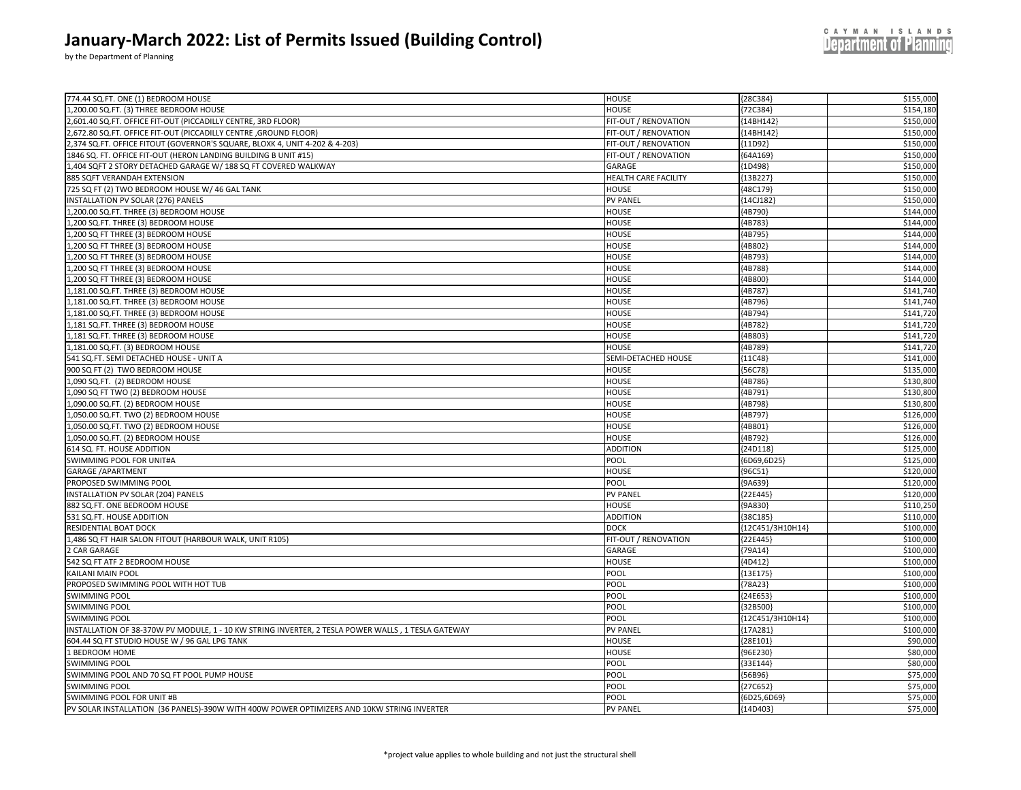by the Department of Planning

| 774.44 SQ.FT. ONE (1) BEDROOM HOUSE                                                                | <b>HOUSE</b>                   | {28C384}             | \$155,000              |
|----------------------------------------------------------------------------------------------------|--------------------------------|----------------------|------------------------|
| 1,200.00 SQ.FT. (3) THREE BEDROOM HOUSE                                                            | <b>HOUSE</b>                   | ${72C384}$           | \$154,180              |
| ,601.40 SQ.FT. OFFICE FIT-OUT (PICCADILLY CENTRE, 3RD FLOOR)                                       | FIT-OUT / RENOVATION           | ${14BH142}$          | \$150,000              |
| ,672.80 SQ.FT. OFFICE FIT-OUT (PICCADILLY CENTRE, GROUND FLOOR)                                    | FIT-OUT / RENOVATION           | ${14BH142}$          | \$150,000              |
| ,374 SQ.FT. OFFICE FITOUT (GOVERNOR'S SQUARE, BLOXK 4, UNIT 4-202 & 4-203)                         | FIT-OUT / RENOVATION           | ${11D92}$            | \$150,000              |
| 1846 SQ. FT. OFFICE FIT-OUT (HERON LANDING BUILDING B UNIT #15)                                    | FIT-OUT / RENOVATION           | ${64A169}$           | \$150,000              |
| ,404 SQFT 2 STORY DETACHED GARAGE W/ 188 SQ FT COVERED WALKWAY                                     | GARAGE                         | ${1D498}$            | \$150,000              |
| 885 SQFT VERANDAH EXTENSION                                                                        | HEALTH CARE FACILITY           | {13B227}             | \$150,000              |
| 725 SQ FT (2) TWO BEDROOM HOUSE W/ 46 GAL TANK                                                     | <b>HOUSE</b>                   | ${48C179}$           | \$150,000              |
| INSTALLATION PV SOLAR (276) PANELS                                                                 | <b>PV PANEL</b>                | ${14CJ182}$          | \$150,000              |
| 1,200.00 SQ.FT. THREE (3) BEDROOM HOUSE                                                            | <b>HOUSE</b>                   | ${4B790}$            | \$144.000              |
| 1,200 SQ.FT. THREE (3) BEDROOM HOUSE                                                               | <b>HOUSE</b>                   | ${4B783}$            | \$144,000              |
| ,200 SQ FT THREE (3) BEDROOM HOUSE                                                                 | <b>HOUSE</b>                   | {4B795}              | \$144,000              |
| ,200 SQ FT THREE (3) BEDROOM HOUSE                                                                 | <b>HOUSE</b>                   | {4B802}              | \$144,000              |
| ,200 SQ FT THREE (3) BEDROOM HOUSE                                                                 | <b>HOUSE</b>                   | {4B793}              | \$144,000              |
| ,200 SQ FT THREE (3) BEDROOM HOUSE                                                                 | <b>HOUSE</b>                   | {4B788}              | \$144,000              |
| ,200 SQ FT THREE (3) BEDROOM HOUSE                                                                 | <b>HOUSE</b>                   | {4B800}              | \$144,000              |
| ,181.00 SQ.FT. THREE (3) BEDROOM HOUSE                                                             | HOUSE                          | {4B787}              | \$141,740              |
| ,181.00 SQ.FT. THREE (3) BEDROOM HOUSE                                                             | <b>HOUSE</b>                   | {4B796}              | \$141,740              |
| ,181.00 SQ.FT. THREE (3) BEDROOM HOUSE                                                             | <b>HOUSE</b>                   | {4B794}              | \$141,720              |
| ,181 SQ.FT. THREE (3) BEDROOM HOUSE                                                                | <b>HOUSE</b>                   | {4B782}              | \$141,720              |
| ,181 SQ.FT. THREE (3) BEDROOM HOUSE                                                                | <b>HOUSE</b>                   | {4B803}              | \$141,720              |
| 1,181.00 SQ.FT. (3) BEDROOM HOUSE                                                                  | <b>HOUSE</b>                   | ${4B789}$            | \$141,720              |
| 541 SQ.FT. SEMI DETACHED HOUSE - UNIT A                                                            | SEMI-DETACHED HOUSE            |                      | \$141,000              |
| 900 SQ FT (2) TWO BEDROOM HOUSE                                                                    | <b>HOUSE</b>                   | ${11C48}$<br>{56C78} | \$135,000              |
|                                                                                                    |                                |                      |                        |
| ,090 SQ.FT. (2) BEDROOM HOUSE                                                                      | <b>HOUSE</b>                   | ${4B786}$            | \$130,800              |
| ,090 SQ FT TWO (2) BEDROOM HOUSE                                                                   | <b>HOUSE</b>                   | {4B791}              | \$130,800              |
| ,090.00 SQ.FT. (2) BEDROOM HOUSE                                                                   | <b>HOUSE</b>                   | ${4B798}$            | \$130,800              |
| ,050.00 SQ.FT. TWO (2) BEDROOM HOUSE                                                               | <b>HOUSE</b>                   | {4B797}              | \$126,000              |
| ,050.00 SQ.FT. TWO (2) BEDROOM HOUSE                                                               | HOUSE                          | {4B801}              | \$126,000              |
| ,050.00 SQ.FT. (2) BEDROOM HOUSE                                                                   | <b>HOUSE</b>                   | ${4B792}$            | \$126,000<br>\$125,000 |
| 614 SQ. FT. HOUSE ADDITION                                                                         | <b>ADDITION</b>                | ${24D118}$           |                        |
| SWIMMING POOL FOR UNIT#A                                                                           | POOL                           | ${6D69, 6D25}$       | \$125,000              |
| <b>GARAGE / APARTMENT</b>                                                                          | <b>HOUSE</b>                   | {96C51}              | \$120,000              |
| PROPOSED SWIMMING POOL                                                                             | POOL                           | ${9A639}$            | \$120,000              |
| INSTALLATION PV SOLAR (204) PANELS                                                                 | <b>PV PANEL</b>                | ${22E445}$           | \$120,000              |
| 882 SQ.FT. ONE BEDROOM HOUSE                                                                       | <b>HOUSE</b>                   | ${9A830}$            | \$110,250              |
| 531 SQ.FT. HOUSE ADDITION                                                                          | <b>ADDITION</b><br><b>DOCK</b> | ${38C185}$           | \$110,000              |
| RESIDENTIAL BOAT DOCK                                                                              |                                | {12C451/3H10H14}     | \$100,000              |
| 1,486 SQ FT HAIR SALON FITOUT (HARBOUR WALK, UNIT R105)                                            | FIT-OUT / RENOVATION           | ${22E445}$           | \$100,000              |
| 2 CAR GARAGE                                                                                       | GARAGE                         | ${79A14}$            | \$100,000              |
| 542 SQ FT ATF 2 BEDROOM HOUSE                                                                      | <b>HOUSE</b>                   | ${4D412}$            | \$100,000              |
| KAILANI MAIN POOL                                                                                  | POOL                           | ${13E175}$           | \$100,000              |
| PROPOSED SWIMMING POOL WITH HOT TUB                                                                | POOL                           | ${78A23}$            | \$100,000              |
| <b>SWIMMING POOL</b>                                                                               | POOL                           | {24E653              | \$100,000              |
| <b>SWIMMING POOL</b>                                                                               | POOL                           | {32B500}             | \$100,000              |
| <b>SWIMMING POOL</b>                                                                               | POOL                           | {12C451/3H10H14}     | \$100,000              |
| INSTALLATION OF 38-370W PV MODULE, 1 - 10 KW STRING INVERTER, 2 TESLA POWER WALLS, 1 TESLA GATEWAY | <b>PV PANEL</b>                | ${17A281}$           | \$100,000              |
| 604.44 SQ FT STUDIO HOUSE W / 96 GAL LPG TANK                                                      | HOUSE                          | ${28E101}$           | \$90,000               |
| 1 BEDROOM HOME                                                                                     | <b>HOUSE</b>                   | {96E230}             | \$80,000               |
| <b>SWIMMING POOL</b>                                                                               | POOL                           | ${33E144}$           | \$80,000               |
| SWIMMING POOL AND 70 SQ FT POOL PUMP HOUSE                                                         | POOL                           | ${56B96}$            | \$75,000               |
| <b>SWIMMING POOL</b>                                                                               | POOL                           | ${27C652}$           | \$75,000               |
| SWIMMING POOL FOR UNIT #B                                                                          | POOL                           | ${6D25,6D69}$        | \$75,000               |
| PV SOLAR INSTALLATION (36 PANELS)-390W WITH 400W POWER OPTIMIZERS AND 10KW STRING INVERTER         | <b>PV PANEL</b>                | ${14D403}$           | \$75,000               |

**Department of Planning**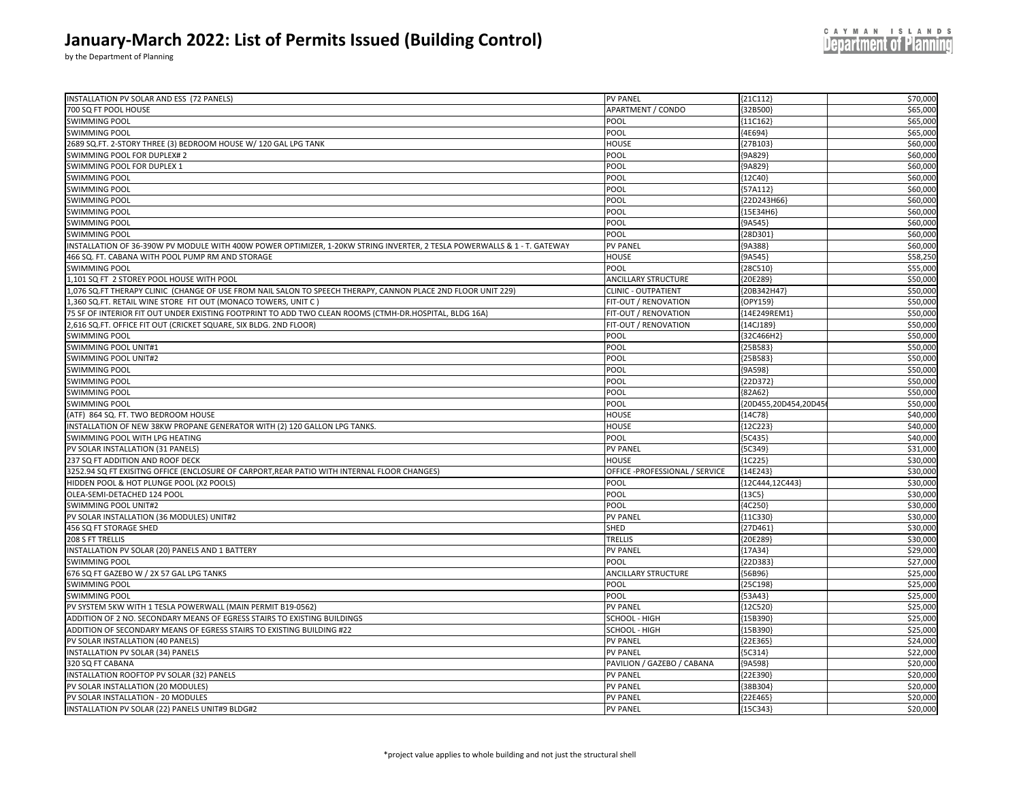|  |  |  | CAYMAN ISLANDS                |  |  |  |
|--|--|--|-------------------------------|--|--|--|
|  |  |  | <b>Department of Planning</b> |  |  |  |

| INSTALLATION PV SOLAR AND ESS (72 PANELS)                                                                                | <b>PV PANEL</b>                | ${21C112}$           | \$70,000 |
|--------------------------------------------------------------------------------------------------------------------------|--------------------------------|----------------------|----------|
| 700 SQ FT POOL HOUSE                                                                                                     | APARTMENT / CONDO              | ${32B500}$           | \$65,000 |
| <b>SWIMMING POOL</b>                                                                                                     | POOL                           | ${11C162}$           | \$65,000 |
| SWIMMING POOL                                                                                                            | POOL                           | ${4E694}$            | \$65,000 |
| 2689 SQ.FT. 2-STORY THREE (3) BEDROOM HOUSE W/ 120 GAL LPG TANK                                                          | <b>HOUSE</b>                   | ${27B103}$           | \$60,000 |
| SWIMMING POOL FOR DUPLEX#2                                                                                               | POOL                           | ${9A829}$            | \$60,000 |
| SWIMMING POOL FOR DUPLEX 1                                                                                               | POOL                           | ${9A829}$            | \$60,000 |
| <b>SWIMMING POOL</b>                                                                                                     | POOL                           | ${12C40}$            | \$60,000 |
| SWIMMING POOL                                                                                                            | POOL                           | ${57A112}$           | \$60,000 |
| SWIMMING POOL                                                                                                            | POOL                           | ${22D243H66}$        | \$60,000 |
| <b>SWIMMING POOL</b>                                                                                                     | POOL                           | ${15E34H6}$          | \$60,000 |
| SWIMMING POOL                                                                                                            | POOL                           | ${9A545}$            | \$60,000 |
| SWIMMING POOL                                                                                                            | POOL                           | {28D301              | \$60,000 |
| INSTALLATION OF 36-390W PV MODULE WITH 400W POWER OPTIMIZER, 1-20KW STRING INVERTER, 2 TESLA POWERWALLS & 1 - T. GATEWAY | <b>PV PANEL</b>                | ${9A388}$            | \$60,000 |
| 466 SQ. FT. CABANA WITH POOL PUMP RM AND STORAGE                                                                         | <b>HOUSE</b>                   | ${9A545}$            | \$58,250 |
| <b>SWIMMING POOL</b>                                                                                                     | POOL                           | ${28C510}$           | \$55,000 |
| 1,101 SQ FT 2 STOREY POOL HOUSE WITH POOL                                                                                | <b>ANCILLARY STRUCTURE</b>     | ${20E289}$           | \$50,000 |
| 1,076 SQ.FT THERAPY CLINIC (CHANGE OF USE FROM NAIL SALON TO SPEECH THERAPY, CANNON PLACE 2ND FLOOR UNIT 229)            | <b>CLINIC - OUTPATIENT</b>     | {20B342H47}          | \$50,000 |
| L,360 SQ.FT. RETAIL WINE STORE FIT OUT (MONACO TOWERS, UNIT C )                                                          | FIT-OUT / RENOVATION           | {OPY159}             | \$50,000 |
| 75 SF OF INTERIOR FIT OUT UNDER EXISTING FOOTPRINT TO ADD TWO CLEAN ROOMS (CTMH-DR.HOSPITAL, BLDG 16A)                   | FIT-OUT / RENOVATION           | {14E249REM1}         | \$50,000 |
| 2,616 SQ.FT. OFFICE FIT OUT (CRICKET SQUARE, SIX BLDG. 2ND FLOOR)                                                        | FIT-OUT / RENOVATION           | ${14CJ189}$          | \$50,000 |
| <b>SWIMMING POOL</b>                                                                                                     | POOL                           | {32C466H2}           | \$50,000 |
| SWIMMING POOL UNIT#1                                                                                                     | POOL                           | ${25B583}$           | \$50,000 |
| SWIMMING POOL UNIT#2                                                                                                     | POOL                           | ${25B583}$           | \$50,000 |
| <b>SWIMMING POOL</b>                                                                                                     | POOL                           | ${9A598}$            | \$50,000 |
| SWIMMING POOL                                                                                                            | POOL                           | ${22D372}$           | \$50,000 |
| <b>SWIMMING POOL</b>                                                                                                     | POOL                           | ${82A62}$            | \$50,000 |
| <b>SWIMMING POOL</b>                                                                                                     | POOL                           | {20D455,20D454,20D45 | \$50,000 |
| (ATF) 864 SQ. FT. TWO BEDROOM HOUSE                                                                                      | HOUSE                          | ${14C78}$            | \$40,000 |
| NSTALLATION OF NEW 38KW PROPANE GENERATOR WITH (2) 120 GALLON LPG TANKS.                                                 | <b>HOUSE</b>                   | ${12C223}$           | \$40,000 |
| SWIMMING POOL WITH LPG HEATING                                                                                           | POOL                           | ${5C435}$            | \$40,000 |
| PV SOLAR INSTALLATION (31 PANELS)                                                                                        | <b>PV PANEL</b>                | ${5C349}$            | \$31,000 |
| 237 SQ FT ADDITION AND ROOF DECK                                                                                         | <b>HOUSE</b>                   | ${1C225}$            | \$30,000 |
| 3252.94 SQ FT EXISITNG OFFICE (ENCLOSURE OF CARPORT,REAR PATIO WITH INTERNAL FLOOR CHANGES)                              | OFFICE -PROFESSIONAL / SERVICE | ${14E243}$           | \$30,000 |
| HIDDEN POOL & HOT PLUNGE POOL (X2 POOLS)                                                                                 | POOL                           | {12C444,12C443}      | \$30,000 |
| OLEA-SEMI-DETACHED 124 POOL                                                                                              | POOL                           | ${13C5}$             | \$30,000 |
| SWIMMING POOL UNIT#2                                                                                                     | POOL                           | ${4C250}$            | \$30,000 |
| PV SOLAR INSTALLATION (36 MODULES) UNIT#2                                                                                | PV PANEL                       | ${11C330}$           | \$30,00  |
| 456 SQ FT STORAGE SHED                                                                                                   | SHED                           | ${27D461}$           | \$30,000 |
| 208 S FT TRELLIS                                                                                                         | TRELLIS                        | {20E289}             | \$30,000 |
| INSTALLATION PV SOLAR (20) PANELS AND 1 BATTERY                                                                          | <b>PV PANEL</b>                | ${17A34}$            | \$29,000 |
| <b>SWIMMING POOL</b>                                                                                                     | POOL                           | {22D383              | \$27,000 |
| 676 SQ FT GAZEBO W / 2X 57 GAL LPG TANKS                                                                                 | ANCILLARY STRUCTURE            | ${56B96}$            | \$25,000 |
| SWIMMING POOL                                                                                                            | POOL                           | ${25C198}$           | \$25,000 |
| SWIMMING POOL                                                                                                            | POOL                           | ${53A43}$            | \$25,000 |
| PV SYSTEM 5KW WITH 1 TESLA POWERWALL (MAIN PERMIT B19-0562)                                                              | PV PANEL                       | ${12C520}$           | \$25,000 |
| ADDITION OF 2 NO. SECONDARY MEANS OF EGRESS STAIRS TO EXISTING BUILDINGS                                                 | SCHOOL - HIGH                  | ${15B390}$           | \$25,000 |
| ADDITION OF SECONDARY MEANS OF EGRESS STAIRS TO EXISTING BUILDING #22                                                    | SCHOOL - HIGH                  | ${15B390}$           | \$25,000 |
| PV SOLAR INSTALLATION (40 PANELS)                                                                                        | <b>PV PANEL</b>                | ${22E365}$           | \$24,000 |
| NSTALLATION PV SOLAR (34) PANELS                                                                                         | <b>PV PANEL</b>                | ${5C314}$            | \$22,000 |
| 320 SQ FT CABANA                                                                                                         | PAVILION / GAZEBO / CABANA     | ${9A598}$            | \$20,000 |
| INSTALLATION ROOFTOP PV SOLAR (32) PANELS                                                                                | <b>PV PANEL</b>                | ${22E390}$           | \$20,00  |
| PV SOLAR INSTALLATION (20 MODULES)                                                                                       | PV PANEL                       | ${38B304}$           | \$20,000 |
| PV SOLAR INSTALLATION - 20 MODULES                                                                                       | <b>PV PANEL</b>                | ${22E465}$           | \$20,000 |
| INSTALLATION PV SOLAR (22) PANELS UNIT#9 BLDG#2                                                                          | <b>PV PANEL</b>                | ${15C343}$           | \$20,000 |
|                                                                                                                          |                                |                      |          |